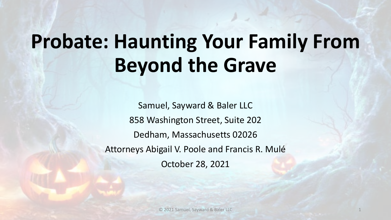# **Probate: Haunting Your Family From Beyond the Grave**

Samuel, Sayward & Baler LLC 858 Washington Street, Suite 202 Dedham, Massachusetts 02026 Attorneys Abigail V. Poole and Francis R. Mulé October 28, 2021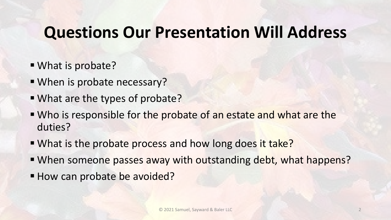### **Questions Our Presentation Will Address**

- What is probate?
- When is probate necessary?
- What are the types of probate?
- Who is responsible for the probate of an estate and what are the duties?
- . What is the probate process and how long does it take?
- When someone passes away with outstanding debt, what happens?
- How can probate be avoided?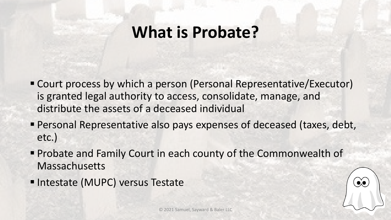#### **What is Probate?**

- Court process by which a person (Personal Representative/Executor) is granted legal authority to access, consolidate, manage, and distribute the assets of a deceased individual
- Personal Representative also pays expenses of deceased (taxes, debt, etc.)
- Probate and Family Court in each county of the Commonwealth of Massachusetts
- **Intestate (MUPC) versus Testate**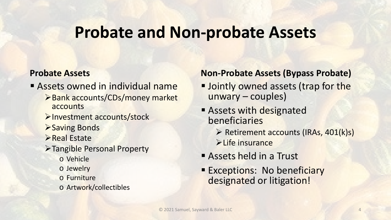#### **Probate and Non-probate Assets**

#### **Probate Assets**

- **Assets owned in individual name** 
	- **≻Bank accounts/CDs/money market** accounts
	- **>Investment accounts/stock**
	- **>Saving Bonds**
	- $\triangleright$  Real Estate
	- Tangible Personal Property
		- o Vehicle
		- o Jewelry
		- o Furniture
		- o Artwork/collectibles

#### **Non-Probate Assets (Bypass Probate)**

- **Jointly owned assets (trap for the** unwary – couples)
- **Assets with designated** beneficiaries
	- $\triangleright$  Retirement accounts (IRAs, 401(k)s) **Eife insurance**
- Assets held in a Trust
- **Exceptions: No beneficiary** designated or litigation!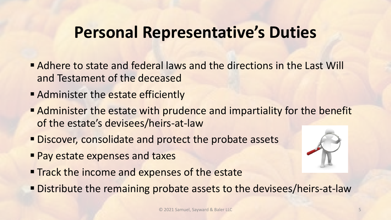### **Personal Representative's Duties**

- Adhere to state and federal laws and the directions in the Last Will and Testament of the deceased
- **Administer the estate efficiently**
- Administer the estate with prudence and impartiality for the benefit of the estate's devisees/heirs-at-law
- **Discover, consolidate and protect the probate assets**
- **Pay estate expenses and taxes**
- **Track the income and expenses of the estate**
- Distribute the remaining probate assets to the devisees/heirs-at-law

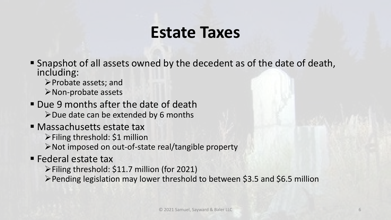## **Estate Taxes**

- Snapshot of all assets owned by the decedent as of the date of death, including:
	- Probate assets; and Non-probate assets
- **Due 9 months after the date of death**  $\triangleright$  Due date can be extended by 6 months
- **Nassachusetts estate tax** 
	- $\triangleright$  Filing threshold: \$1 million
	- Not imposed on out-of-state real/tangible property
- **Federal estate tax** 
	- Filing threshold: \$11.7 million (for 2021)
	- Pending legislation may lower threshold to between \$3.5 and \$6.5 million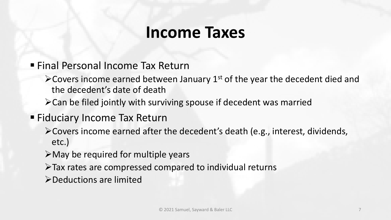#### **Income Taxes**

#### Final Personal Income Tax Return

- $\triangle$  Covers income earned between January 1<sup>st</sup> of the year the decedent died and the decedent's date of death
- Can be filed jointly with surviving spouse if decedent was married

#### **Fiduciary Income Tax Return**

- Covers income earned after the decedent's death (e.g., interest, dividends, etc.)
- $\triangleright$  May be required for multiple years
- $\triangleright$  Tax rates are compressed compared to individual returns

Deductions are limited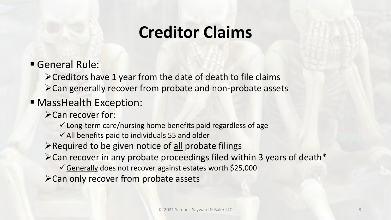## **Creditor Claims**

General Rule:

 $\triangleright$  Creditors have 1 year from the date of death to file claims Can generally recover from probate and non-probate assets

#### **MassHealth Exception:**

>Can recover for:

 $\checkmark$  Long-term care/nursing home benefits paid regardless of age

 $\checkmark$  All benefits paid to individuals 55 and older

 $\triangleright$  Required to be given notice of all probate filings

Can recover in any probate proceedings filed within 3 years of death\*

Generally does not recover against estates worth \$25,000

Can only recover from probate assets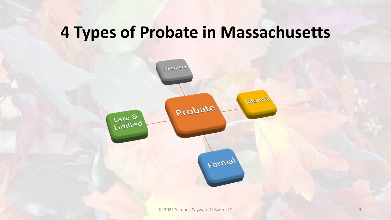### **4 Types of Probate in Massachusetts**

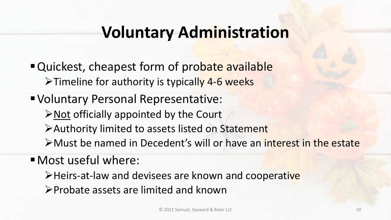## **Voluntary Administration**

" Quickest, cheapest form of probate available  $\triangleright$  Timeline for authority is typically 4-6 weeks

Voluntary Personal Representative:  $\triangleright$  Not officially appointed by the Court Authority limited to assets listed on Statement Must be named in Decedent's will or have an interest in the estate

Most useful where:

>Heirs-at-law and devisees are known and cooperative

Probate assets are limited and known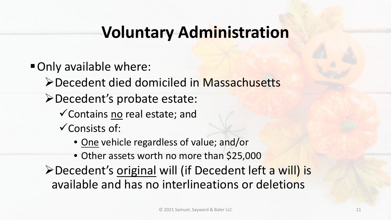## **Voluntary Administration**

- Only available where:
	- Decedent died domiciled in Massachusetts
	- Decedent's probate estate:
		- Contains no real estate; and
		- $\checkmark$  Consists of:
			- One vehicle regardless of value; and/or
			- Other assets worth no more than \$25,000
	- **≻Decedent's original will (if Decedent left a will) is** available and has no interlineations or deletions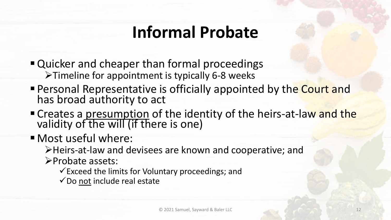## **Informal Probate**

- Quicker and cheaper than formal proceedings Timeline for appointment is typically 6-8 weeks
- **Personal Representative is officially appointed by the Court and** has broad authority to act
- " Creates a presumption of the identity of the heirs-at-law and the validity of the will (if there is one)
- Most useful where:

Heirs-at-law and devisees are known and cooperative; and

Probate assets:

 $\checkmark$  Exceed the limits for Voluntary proceedings; and

 $\checkmark$  Do not include real estate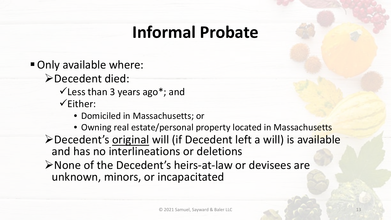## **Informal Probate**

- Only available where:
	- Decedent died:
		- $\checkmark$  Less than 3 years ago\*; and
		- $\checkmark$ Either:
			- Domiciled in Massachusetts; or
			- Owning real estate/personal property located in Massachusetts
	- Decedent's original will (if Decedent left a will) is available and has no interlineations or deletions
	- None of the Decedent's heirs-at-law or devisees are unknown, minors, or incapacitated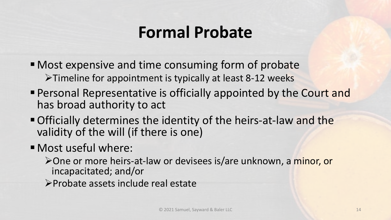## **Formal Probate**

- Most expensive and time consuming form of probate  $\triangleright$  Timeline for appointment is typically at least 8-12 weeks
- **Personal Representative is officially appointed by the Court and** has broad authority to act
- Officially determines the identity of the heirs-at-law and the validity of the will (if there is one)
- Most useful where:
	- One or more heirs-at-law or devisees is/are unknown, a minor, or incapacitated; and/or
	- Probate assets include real estate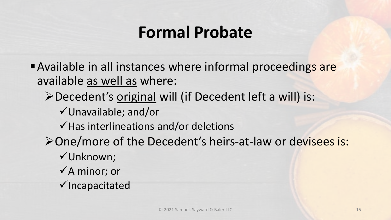## **Formal Probate**

- Available in all instances where informal proceedings are available as well as where:
	- Decedent's original will (if Decedent left a will) is:
		- Unavailable; and/or
		- $\checkmark$  Has interlineations and/or deletions
	- One/more of the Decedent's heirs-at-law or devisees is:
		- Unknown;
		- $\checkmark$ A minor; or
		- $\checkmark$  Incapacitated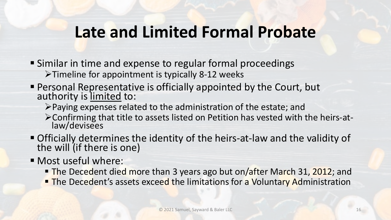### **Late and Limited Formal Probate**

- Similar in time and expense to regular formal proceedings  $\triangleright$  Timeline for appointment is typically 8-12 weeks
- Personal Representative is officially appointed by the Court, but authority is limited to:
	- Paying expenses related to the administration of the estate; and
	- Confirming that title to assets listed on Petition has vested with the heirs-at- law/devisees
- Officially determines the identity of the heirs-at-law and the validity of the will (if there is one)
- Most useful where:
	- The Decedent died more than 3 years ago but on/after March 31, 2012; and
	- **The Decedent's assets exceed the limitations for a Voluntary Administration**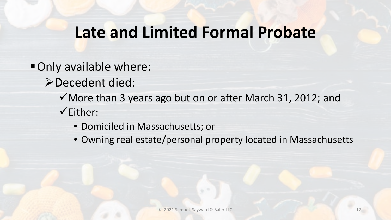### **Late and Limited Formal Probate**

- Only available where:
	- Decedent died:
		- $\checkmark$  More than 3 years ago but on or after March 31, 2012; and
		- $\checkmark$ Either:
			- Domiciled in Massachusetts; or
			- Owning real estate/personal property located in Massachusetts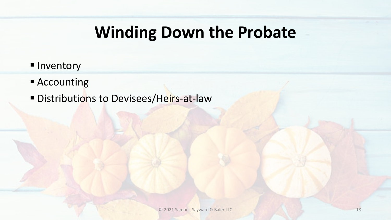## **Winding Down the Probate**

- **Inventory**
- Accounting
- Distributions to Devisees/Heirs-at-law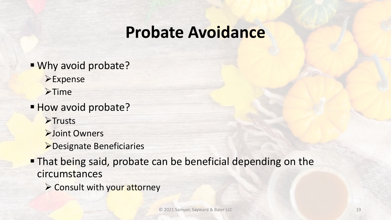### **Probate Avoidance**

- **Why avoid probate? Expense**  $\blacktriangleright$ Time How avoid probate?  $\blacktriangleright$ Trusts **>Joint Owners** Designate Beneficiaries **That being said, probate can be beneficial depending on the** circumstances
	- $\triangleright$  Consult with your attorney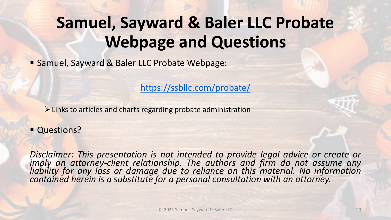## **Samuel, Sayward & Baler LLC Probate Webpage and Questions**

**Samuel, Sayward & Baler LLC Probate Webpage:** 

<https://ssbllc.com/probate/>

 $\triangleright$  Links to articles and charts regarding probate administration

**Questions?** 

*Disclaimer: This presentation is not intended to provide legal advice or create or* imply an attorney-client relationship. The authors and firm do not assume any<br>liability for any loss or damage due to reliance on this material. No information<br>contained herein is a substitute for a personal consultation w